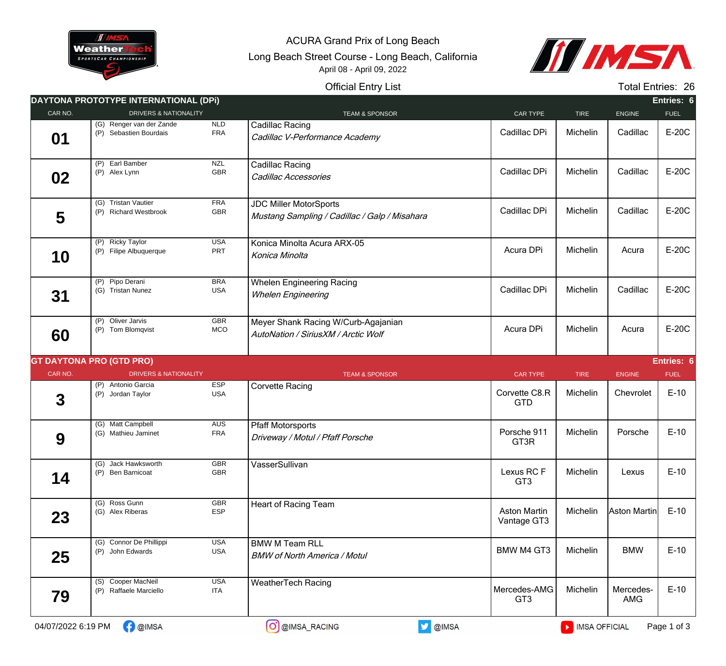

ACURA Grand Prix of Long Beach

Long Beach Street Course - Long Beach, California April 08 - April 09, 2022



## Official Entry List

Total Entries: 26

| <b>DRIVERS &amp; NATIONALITY</b><br>(G) Renger van der Zande<br>(P) Sebastien Bourdais<br>(P) Earl Bamber<br>(P) Alex Lynn<br>(G) Tristan Vautier<br>(P) Richard Westbrook<br>(P) Ricky Taylor<br>(P) Filipe Albuquerque<br>(P) Pipo Derani<br>(G) Tristan Nunez<br>(P) Oliver Jarvis<br>(P) Tom Blomqvist | <b>NLD</b><br><b>FRA</b><br><b>NZL</b><br>GBR<br><b>FRA</b><br>GBR<br><b>USA</b><br>PRT<br><b>BRA</b><br><b>USA</b><br><b>GBR</b><br>MCO | <b>TEAM &amp; SPONSOR</b><br>Cadillac Racing<br>Cadillac V-Performance Academy<br>Cadillac Racing<br>Cadillac Accessories<br><b>JDC Miller MotorSports</b><br>Mustang Sampling / Cadillac / Galp / Misahara<br>Konica Minolta Acura ARX-05<br>Konica Minolta<br><b>Whelen Engineering Racing</b><br><b>Whelen Engineering</b><br>Meyer Shank Racing W/Curb-Agajanian<br>AutoNation / SiriusXM / Arctic Wolf | CAR TYPE<br>Cadillac DPi<br>Cadillac DPi<br>Cadillac DPi<br>Acura DPi<br>Cadillac DPi<br>Acura DPi | <b>TIRE</b><br>Michelin<br>Michelin<br>Michelin<br>Michelin<br>Michelin | <b>ENGINE</b><br>Cadillac<br>Cadillac<br>Cadillac<br>Acura<br>Cadillac | <b>FUEL</b><br>E-20C<br>E-20C<br>E-20C<br>E-20C<br>E-20C |
|------------------------------------------------------------------------------------------------------------------------------------------------------------------------------------------------------------------------------------------------------------------------------------------------------------|------------------------------------------------------------------------------------------------------------------------------------------|-------------------------------------------------------------------------------------------------------------------------------------------------------------------------------------------------------------------------------------------------------------------------------------------------------------------------------------------------------------------------------------------------------------|----------------------------------------------------------------------------------------------------|-------------------------------------------------------------------------|------------------------------------------------------------------------|----------------------------------------------------------|
|                                                                                                                                                                                                                                                                                                            |                                                                                                                                          |                                                                                                                                                                                                                                                                                                                                                                                                             |                                                                                                    |                                                                         |                                                                        |                                                          |
|                                                                                                                                                                                                                                                                                                            |                                                                                                                                          |                                                                                                                                                                                                                                                                                                                                                                                                             |                                                                                                    |                                                                         |                                                                        |                                                          |
|                                                                                                                                                                                                                                                                                                            |                                                                                                                                          |                                                                                                                                                                                                                                                                                                                                                                                                             |                                                                                                    |                                                                         |                                                                        |                                                          |
|                                                                                                                                                                                                                                                                                                            |                                                                                                                                          |                                                                                                                                                                                                                                                                                                                                                                                                             |                                                                                                    |                                                                         |                                                                        |                                                          |
|                                                                                                                                                                                                                                                                                                            |                                                                                                                                          |                                                                                                                                                                                                                                                                                                                                                                                                             |                                                                                                    |                                                                         |                                                                        |                                                          |
|                                                                                                                                                                                                                                                                                                            |                                                                                                                                          |                                                                                                                                                                                                                                                                                                                                                                                                             |                                                                                                    |                                                                         |                                                                        |                                                          |
|                                                                                                                                                                                                                                                                                                            |                                                                                                                                          |                                                                                                                                                                                                                                                                                                                                                                                                             |                                                                                                    | Michelin                                                                | Acura                                                                  | E-20C                                                    |
| <b>GT DAYTONA PRO (GTD PRO)</b>                                                                                                                                                                                                                                                                            |                                                                                                                                          |                                                                                                                                                                                                                                                                                                                                                                                                             |                                                                                                    |                                                                         |                                                                        | Entries: 6                                               |
| <b>DRIVERS &amp; NATIONALITY</b>                                                                                                                                                                                                                                                                           |                                                                                                                                          | <b>TEAM &amp; SPONSOR</b>                                                                                                                                                                                                                                                                                                                                                                                   | <b>CAR TYPE</b>                                                                                    | <b>TIRE</b>                                                             | <b>ENGINE</b>                                                          | <b>FUEL</b>                                              |
| (P) Antonio Garcia<br>(P) Jordan Taylor                                                                                                                                                                                                                                                                    | <b>ESP</b><br><b>USA</b>                                                                                                                 | <b>Corvette Racing</b>                                                                                                                                                                                                                                                                                                                                                                                      | Corvette C8.R<br><b>GTD</b>                                                                        | Michelin                                                                | Chevrolet                                                              | $E-10$                                                   |
| (G) Matt Campbell<br>(G) Mathieu Jaminet                                                                                                                                                                                                                                                                   | <b>AUS</b><br><b>FRA</b>                                                                                                                 | <b>Pfaff Motorsports</b><br>Driveway / Motul / Pfaff Porsche                                                                                                                                                                                                                                                                                                                                                | Porsche 911<br>GT3R                                                                                | Michelin                                                                | Porsche                                                                | $E-10$                                                   |
| (G) Jack Hawksworth<br>(P) Ben Barnicoat                                                                                                                                                                                                                                                                   | <b>GBR</b><br>GBR                                                                                                                        | VasserSullivan                                                                                                                                                                                                                                                                                                                                                                                              | Lexus RC F<br>GT <sub>3</sub>                                                                      | Michelin                                                                | Lexus                                                                  | $E-10$                                                   |
| (G) Ross Gunn<br>(G) Alex Riberas                                                                                                                                                                                                                                                                          | <b>GBR</b><br><b>ESP</b>                                                                                                                 | Heart of Racing Team                                                                                                                                                                                                                                                                                                                                                                                        | <b>Aston Martin</b><br>Vantage GT3                                                                 | Michelin                                                                | Aston Martin                                                           | $E-10$                                                   |
| (G) Connor De Phillippi<br>(P) John Edwards                                                                                                                                                                                                                                                                | <b>USA</b><br>USA                                                                                                                        | <b>BMW M Team RLL</b><br><b>BMW of North America / Motul</b>                                                                                                                                                                                                                                                                                                                                                | <b>BMW M4 GT3</b>                                                                                  | Michelin                                                                | <b>BMW</b>                                                             | $E-10$                                                   |
|                                                                                                                                                                                                                                                                                                            | <b>USA</b><br><b>ITA</b>                                                                                                                 | <b>WeatherTech Racing</b>                                                                                                                                                                                                                                                                                                                                                                                   | Mercedes-AMG<br>GT <sub>3</sub>                                                                    | Michelin                                                                | Mercedes-<br>AMG                                                       | $E-10$                                                   |
|                                                                                                                                                                                                                                                                                                            | (S) Cooper MacNeil<br>(P) Raffaele Marciello                                                                                             |                                                                                                                                                                                                                                                                                                                                                                                                             |                                                                                                    |                                                                         | <b>V</b> @IMSA<br>O @IMSA_RACING<br><b>C</b> @IMSA<br>MISA OFFICIAL    |                                                          |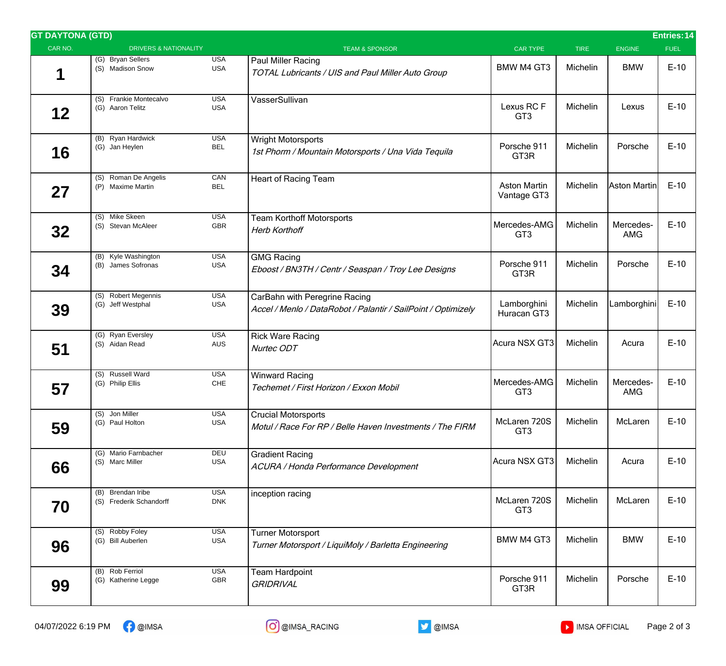| <b>GT DAYTONA (GTD)</b><br><b>Entries: 14</b> |                                              |                          |                                                                                                |                                    |             |                         |             |  |  |  |
|-----------------------------------------------|----------------------------------------------|--------------------------|------------------------------------------------------------------------------------------------|------------------------------------|-------------|-------------------------|-------------|--|--|--|
| CAR NO.                                       | <b>DRIVERS &amp; NATIONALITY</b>             |                          | <b>TEAM &amp; SPONSOR</b>                                                                      | <b>CAR TYPE</b>                    | <b>TIRE</b> | <b>ENGINE</b>           | <b>FUEL</b> |  |  |  |
| 1                                             | (G) Bryan Sellers<br>(S) Madison Snow        | <b>USA</b><br><b>USA</b> | Paul Miller Racing<br>TOTAL Lubricants / UIS and Paul Miller Auto Group                        | <b>BMW M4 GT3</b>                  | Michelin    | <b>BMW</b>              | $E-10$      |  |  |  |
| 12                                            | (S) Frankie Montecalvo<br>(G) Aaron Telitz   | <b>USA</b><br><b>USA</b> | VasserSullivan                                                                                 | Lexus RC F<br>GT <sub>3</sub>      | Michelin    | Lexus                   | $E-10$      |  |  |  |
| 16                                            | (B) Ryan Hardwick<br>(G) Jan Heylen          | <b>USA</b><br><b>BEL</b> | <b>Wright Motorsports</b><br>1st Phorm / Mountain Motorsports / Una Vida Tequila               | Porsche 911<br>GT3R                | Michelin    | Porsche                 | $E-10$      |  |  |  |
| 27                                            | (S) Roman De Angelis<br>(P) Maxime Martin    | CAN<br><b>BEL</b>        | Heart of Racing Team                                                                           | <b>Aston Martin</b><br>Vantage GT3 | Michelin    | Aston Martin            | $E-10$      |  |  |  |
| 32                                            | (S) Mike Skeen<br>(S) Stevan McAleer         | <b>USA</b><br>GBR        | <b>Team Korthoff Motorsports</b><br><b>Herb Korthoff</b>                                       | Mercedes-AMG<br>GT <sub>3</sub>    | Michelin    | Mercedes-<br><b>AMG</b> | $E-10$      |  |  |  |
| 34                                            | (B) Kyle Washington<br>(B) James Sofronas    | <b>USA</b><br><b>USA</b> | <b>GMG Racing</b><br>Eboost / BN3TH / Centr / Seaspan / Troy Lee Designs                       | Porsche 911<br>GT3R                | Michelin    | Porsche                 | $E-10$      |  |  |  |
| 39                                            | (S) Robert Megennis<br>(G) Jeff Westphal     | <b>USA</b><br><b>USA</b> | CarBahn with Peregrine Racing<br>Accel / Menlo / DataRobot / Palantir / SailPoint / Optimizely | Lamborghini<br>Huracan GT3         | Michelin    | Lamborghini             | $E-10$      |  |  |  |
| 51                                            | (G) Ryan Eversley<br>(S) Aidan Read          | <b>USA</b><br><b>AUS</b> | <b>Rick Ware Racing</b><br>Nurtec ODT                                                          | Acura NSX GT3                      | Michelin    | Acura                   | $E-10$      |  |  |  |
| 57                                            | (S) Russell Ward<br>(G) Philip Ellis         | <b>USA</b><br>CHE        | <b>Winward Racing</b><br>Techemet / First Horizon / Exxon Mobil                                | Mercedes-AMG<br>GT <sub>3</sub>    | Michelin    | Mercedes-<br><b>AMG</b> | $E-10$      |  |  |  |
| 59                                            | (S) Jon Miller<br>(G) Paul Holton            | <b>USA</b><br><b>USA</b> | <b>Crucial Motorsports</b><br>Motul / Race For RP / Belle Haven Investments / The FIRM         | McLaren 720S<br>GT <sub>3</sub>    | Michelin    | McLaren                 | $E-10$      |  |  |  |
| 66                                            | (G) Mario Farnbacher<br>(S) Marc Miller      | DEU<br><b>USA</b>        | <b>Gradient Racing</b><br>ACURA / Honda Performance Development                                | Acura NSX GT3                      | Michelin    | Acura                   | $E-10$      |  |  |  |
| 70                                            | (B) Brendan Iribe<br>(S) Frederik Schandorff | <b>USA</b><br><b>DNK</b> | inception racing                                                                               | McLaren 720S<br>GT <sub>3</sub>    | Michelin    | McLaren                 | $E-10$      |  |  |  |
| 96                                            | (S) Robby Foley<br>(G) Bill Auberlen         | <b>USA</b><br><b>USA</b> | <b>Turner Motorsport</b><br>Turner Motorsport / LiquiMoly / Barletta Engineering               | <b>BMW M4 GT3</b>                  | Michelin    | <b>BMW</b>              | $E-10$      |  |  |  |
| 99                                            | (B) Rob Ferriol<br>(G) Katherine Legge       | <b>USA</b><br>GBR        | Team Hardpoint<br><b>GRIDRIVAL</b>                                                             | Porsche 911<br>GT3R                | Michelin    | Porsche                 | $E-10$      |  |  |  |